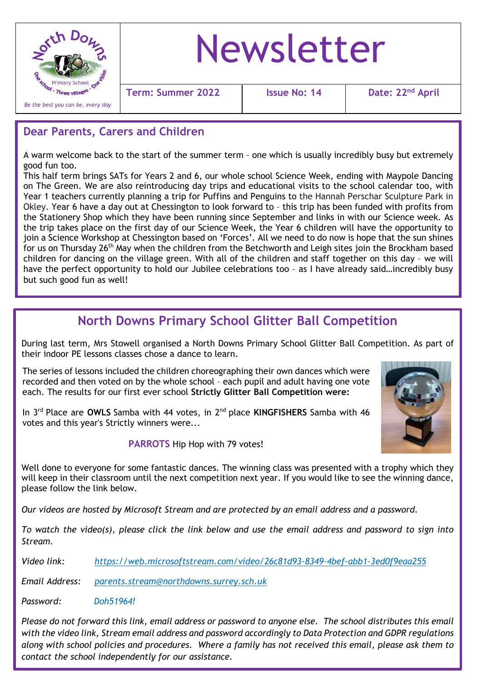

# Newsletter

**Term:** Summer 2022 | Issue No: 14

Date: 22<sup>nd</sup> April

#### **Dear Parents, Carers and Children**

A warm welcome back to the start of the summer term – one which is usually incredibly busy but extremely good fun too.

This half term brings SATs for Years 2 and 6, our whole school Science Week, ending with Maypole Dancing on The Green. We are also reintroducing day trips and educational visits to the school calendar too, with Year 1 teachers currently planning a trip for Puffins and Penguins to the Hannah Perschar Sculpture Park in Okley. Year 6 have a day out at Chessington to look forward to – this trip has been funded with profits from the Stationery Shop which they have been running since September and links in with our Science week. As the trip takes place on the first day of our Science Week, the Year 6 children will have the opportunity to join a Science Workshop at Chessington based on 'Forces'. All we need to do now is hope that the sun shines for us on Thursday 26th May when the children from the Betchworth and Leigh sites join the Brockham based children for dancing on the village green. With all of the children and staff together on this day – we will have the perfect opportunity to hold our Jubilee celebrations too - as I have already said...incredibly busy but such good fun as well!

## **North Downs Primary School Glitter Ball Competition**

During last term, Mrs Stowell organised a North Downs Primary School Glitter Ball Competition. As part of their indoor PE lessons classes chose a dance to learn.

The series of lessons included the children choreographing their own dances which were recorded and then voted on by the whole school – each pupil and adult having one vote each. The results for our first ever school **Strictly Glitter Ball Competition were:**

In 3rd Place are **OWLS** Samba with 44 votes, in 2nd place **KINGFISHERS** Samba with 46 votes and this year's Strictly winners were...

**PARROTS** Hip Hop with 79 votes!

Well done to everyone for some fantastic dances. The winning class was presented with a trophy which they will keep in their classroom until the next competition next year. If you would like to see the winning dance, please follow the link below.

*Our videos are hosted by Microsoft Stream and are protected by an email address and a password.*

*To watch the video(s), please click the link below and use the email address and password to sign into Stream.*

*Video link: <https://web.microsoftstream.com/video/26c81d93-8349-4bef-abb1-3ed0f9eaa255>*

*Email Address: [parents.stream@northdowns.surrey.sch.uk](mailto:parents.stream@northdowns.surrey.sch.uk)*

*Password: Doh51964!*

*Please do not forward this link, email address or password to anyone else. The school distributes this email with the video link, Stream email address and password accordingly to Data Protection and GDPR regulations along with school policies and procedures. Where a family has not received this email, please ask them to contact the school independently for our assistance.*

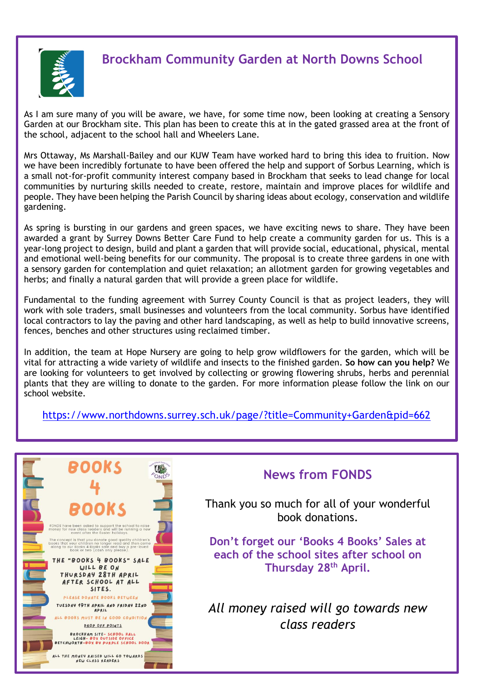

## **Brockham Community Garden at North Downs School**

As I am sure many of you will be aware, we have, for some time now, been looking at creating a Sensory Garden at our Brockham site. This plan has been to create this at in the gated grassed area at the front of the school, adjacent to the school hall and Wheelers Lane.

Mrs Ottaway, Ms Marshall-Bailey and our KUW Team have worked hard to bring this idea to fruition. Now we have been incredibly fortunate to have been offered the help and support of Sorbus Learning, which is a small not-for-profit community interest company based in Brockham that seeks to lead change for local communities by nurturing skills needed to create, restore, maintain and improve places for wildlife and people. They have been helping the Parish Council by sharing ideas about ecology, conservation and wildlife gardening.

As spring is bursting in our gardens and green spaces, we have exciting news to share. They have been awarded a grant by Surrey Downs Better Care Fund to help create a community garden for us. This is a year-long project to design, build and plant a garden that will provide social, educational, physical, mental and emotional well-being benefits for our community. The proposal is to create three gardens in one with a sensory garden for contemplation and quiet relaxation; an allotment garden for growing vegetables and herbs; and finally a natural garden that will provide a green place for wildlife.

Fundamental to the funding agreement with Surrey County Council is that as project leaders, they will work with sole traders, small businesses and volunteers from the local community. Sorbus have identified local contractors to lay the paving and other hard landscaping, as well as help to build innovative screens, fences, benches and other structures using reclaimed timber.

In addition, the team at Hope Nursery are going to help grow wildflowers for the garden, which will be vital for attracting a wide variety of wildlife and insects to the finished garden. **So how can you help?** We are looking for volunteers to get involved by collecting or growing flowering shrubs, herbs and perennial plants that they are willing to donate to the garden. For more information please follow the link on our school website.

<https://www.northdowns.surrey.sch.uk/page/?title=Community+Garden&pid=662>



### **News from FONDS**

Thank you so much for all of your wonderful book donations.

**Don't forget our 'Books 4 Books' Sales at each of the school sites after school on Thursday 28th April.** 

*All money raised will go towards new class readers*